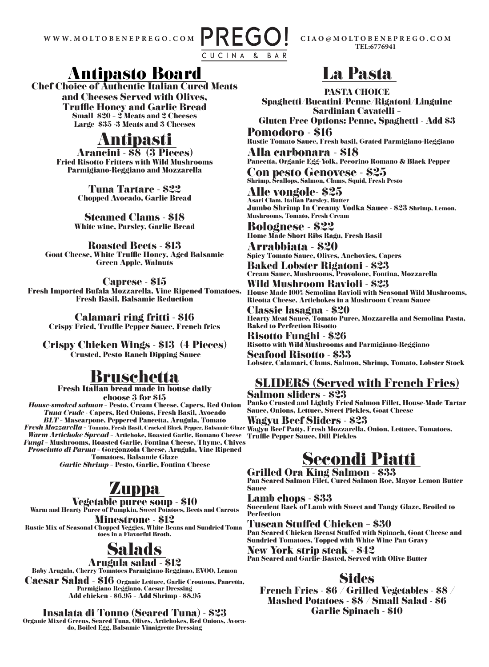

**TEL:6776941 CIAO@MOLTOBENEPREGO.COM**

### Antipasto Board

Chef Choice of Authentic Italian Cured Meats and Cheeses Served with Olives, Truffle Honey and Garlic Bread Small \$20 – 2 Meats and 2 Cheeses Large \$35 -3 Meats and 3 Cheeses

# Antipasti Arancini - \$8 (3 Pieces)

Fried Risotto Fritters with Wild Mushrooms Parmigiano-Reggiano and Mozzarella

> Tuna Tartare - \$22 Chopped Avocado, Garlic Bread

Steamed Clams - \$18 White wine, Parsley, Garlic Bread

Roasted Beets - \$13 Goat Cheese, White Truffle Honey, Aged Balsamic Green Apple, Walnuts

Caprese - \$15 Fresh Imported Bufala Mozzarella, Vine Ripened Tomatoes, Fresh Basil, Balsamic Reduction

Calamari ring fritti - \$16 Crispy Fried, Truffle Pepper Sauce, French fries

Crispy Chicken Wings - \$13 (4 Pieces) Crusted, Pesto-Ranch Dipping Sauce

### Bruschetta

Fresh Italian bread made in house daily choose 3 for \$15 *House-smoked salmon* – Pesto, Cream Cheese, Capers, Red Onion *Tuna Crude* - Capers, Red Onions, Fresh Basil, Avocado *BLT* – Mascarpone, Peppered Pancetta, Arugula, Tomato *Fresh Mozzarella –* Tomato, Fresh Basil, Cracked Black Pepper, Balsamic Glaze Wagyu Beef Patty, Fresh Mozzarella, Onion, Lettuce, Tomatoes, *Warm Artichoke Spread* – Artichoke, Roasted Garlic, Romano Cheese Truffle Pepper Sauce, Dill Pickles *Fungi* – Mushrooms, Roasted Garlic, Fontina Cheese, Thyme, Chives *Prosciutto di Parma* – Gorgonzola Cheese, Arugula, Vine Ripened Tomatoes, Balsamic Glaze *Garlic Shrimp* – Pesto, Garlic, Fontina Cheese

## **Zuppa**

Vegetable puree soup - \$10

Warm and Hearty Puree of Pumpkin, Sweet Potatoes, Beets and Carrots

Minestrone - \$12 Rustic Mix of Seasonal Chopped Veggies, White Beans and Sundried Tomatoes in a Flavorful Broth.

## Salads

#### Arugula salad - \$12

Baby Arugula, Cherry Tomatoes Parmigiano-Reggiano, EVOO, Lemon

Caesar Salad - \$16 Organic Lettuce, Garlic Croutons, Pancetta, Parmigiano-Reggiano, Caesar Dressing Add chicken - \$6.95 – Add Shrimp - \$8.95

Insalata di Tonno (Seared Tuna) - \$23

Organic Mixed Greens, Seared Tuna, Olives, Artichokes, Red Onions, Avocado, Boiled Egg, Balsamic Vinaigrette Dressing

## La Pasta

PASTA CHOICE Spaghetti/Bucatini/Penne/Rigatoni/Linguine Sardinian Cavatelli –

Gluten Free Options: Penne, Spaghetti - Add \$3 Pomodoro - \$16

Rustic Tomato Sauce, Fresh basil, Grated Parmigiano-Reggiano Alla carbonara - \$18

Pancetta, Organic Egg-Yolk, Pecorino Romano & Black Pepper

Con pesto Genovese - \$25 Shrimp, Scallops, Salmon, Clams, Squid, Fresh Pesto

Alle vongole- \$25 Asari Clam, Italian Parsley, Butter Jumbo Shrimp In Creamy Vodka Sauce - \$23 Shrimp, Lemon, Mushrooms, Tomato, Fresh Cream

Bolognese - \$22 Home Made Short Ribs Ragu, Fresh Basil

Arrabbiata - \$20 Spicy Tomato Sauce, Olives, Anchovies, Capers

Baked Lobster Rigatoni - \$23 Cream Sauce, Mushrooms, Provolone, Fontina, Mozzarella Wild Mushroom Ravioli - \$23

House Made 100% Semolina Ravioli with Seasonal Wild Mushrooms, Ricotta Cheese, Artichokes in a Mushroom Cream Sauce

Classic lasagna - \$20 Hearty Meat Sauce, Tomato Puree, Mozzarella and Semolina Pasta, Baked to Perfection Risotto

Risotto Funghi - \$26 Risotto with Wild Mushrooms and Parmigiano-Reggiano

Seafood Risotto - \$33 Lobster, Calamari, Clams, Salmon, Shrimp, Tomato, Lobster Stock

### SLIDERS (Served with French Fries)

Salmon sliders - \$23 Panko Crusted and Lightly Fried Salmon Fillet, House-Made Tartar Sauce, Onions, Lettuce, Sweet Pickles, Goat Cheese

Wagyu Beef Sliders - \$23

## Secondi Piatti

Grilled Ora King Salmon - \$33 Pan Seared Salmon Filet, Cured Salmon Roe, Mayor Lemon Butter Sauce

Lamb chops - \$33 Succulent Rack of Lamb with Sweet and Tangy Glaze, Broiled to **Perfection** 

Tuscan Stuffed Chicken – \$30

Pan Seared Chicken Breast Stuffed with Spinach, Goat Cheese and Sundried Tomatoes, Topped with White Wine Pan Gravy

New York strip steak - \$42 Pan Seared and Garlic-Basted, Served with Olive Butter

### **Sides**

French Fries - \$6 / Grilled Vegetables - \$8 / Mashed Potatoes - \$8 / Small Salad - \$6 Garlic Spinach - \$10